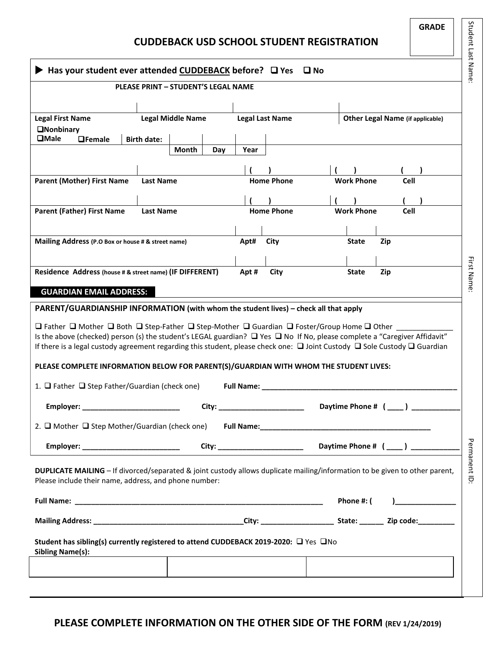|                                                                                                                                                                                                                                                                                                                                                                                                                                                                                                                                                                                                         | <b>GRADE</b><br><b>CUDDEBACK USD SCHOOL STUDENT REGISTRATION</b> | Student Last Name      |                                                                                                                             |              |  |  |  |  |  |
|---------------------------------------------------------------------------------------------------------------------------------------------------------------------------------------------------------------------------------------------------------------------------------------------------------------------------------------------------------------------------------------------------------------------------------------------------------------------------------------------------------------------------------------------------------------------------------------------------------|------------------------------------------------------------------|------------------------|-----------------------------------------------------------------------------------------------------------------------------|--------------|--|--|--|--|--|
| Has your student ever attended CUDDEBACK before? Q Yes<br>$\square$ No                                                                                                                                                                                                                                                                                                                                                                                                                                                                                                                                  |                                                                  |                        |                                                                                                                             |              |  |  |  |  |  |
|                                                                                                                                                                                                                                                                                                                                                                                                                                                                                                                                                                                                         | <b>PLEASE PRINT - STUDENT'S LEGAL NAME</b>                       |                        |                                                                                                                             |              |  |  |  |  |  |
| <b>Legal First Name</b>                                                                                                                                                                                                                                                                                                                                                                                                                                                                                                                                                                                 | <b>Legal Middle Name</b>                                         | <b>Legal Last Name</b> | <b>Other Legal Name (if applicable)</b>                                                                                     |              |  |  |  |  |  |
| <b>ONonbinary</b><br>$\square$ Male<br><b>OFemale</b><br><b>Birth date:</b>                                                                                                                                                                                                                                                                                                                                                                                                                                                                                                                             |                                                                  |                        |                                                                                                                             |              |  |  |  |  |  |
|                                                                                                                                                                                                                                                                                                                                                                                                                                                                                                                                                                                                         | Month<br>Day                                                     | Year                   |                                                                                                                             |              |  |  |  |  |  |
| <b>Parent (Mother) First Name</b><br><b>Last Name</b>                                                                                                                                                                                                                                                                                                                                                                                                                                                                                                                                                   |                                                                  | <b>Home Phone</b>      | <b>Work Phone</b><br>Cell                                                                                                   |              |  |  |  |  |  |
|                                                                                                                                                                                                                                                                                                                                                                                                                                                                                                                                                                                                         |                                                                  |                        |                                                                                                                             |              |  |  |  |  |  |
| <b>Parent (Father) First Name</b><br><b>Last Name</b>                                                                                                                                                                                                                                                                                                                                                                                                                                                                                                                                                   |                                                                  | <b>Home Phone</b>      | Work Phone<br>Cell                                                                                                          |              |  |  |  |  |  |
| Mailing Address (P.O Box or house # & street name)                                                                                                                                                                                                                                                                                                                                                                                                                                                                                                                                                      |                                                                  | Apt#<br>City           | <b>State</b><br>Zip                                                                                                         |              |  |  |  |  |  |
|                                                                                                                                                                                                                                                                                                                                                                                                                                                                                                                                                                                                         |                                                                  |                        |                                                                                                                             |              |  |  |  |  |  |
| Residence Address (house # & street name) (IF DIFFERENT)                                                                                                                                                                                                                                                                                                                                                                                                                                                                                                                                                |                                                                  | City<br>Apt#           | Zip<br><b>State</b>                                                                                                         | First Name   |  |  |  |  |  |
| <b>GUARDIAN EMAIL ADDRESS:</b>                                                                                                                                                                                                                                                                                                                                                                                                                                                                                                                                                                          |                                                                  |                        |                                                                                                                             |              |  |  |  |  |  |
| PARENT/GUARDIANSHIP INFORMATION (with whom the student lives) - check all that apply<br>$\Box$ Father $\Box$ Mother $\Box$ Both $\Box$ Step-Father $\Box$ Step-Mother $\Box$ Guardian $\Box$ Foster/Group Home $\Box$ Other<br>Is the above (checked) person (s) the student's LEGAL guardian? $\Box$ Yes $\Box$ No If No, please complete a "Caregiver Affidavit"<br>If there is a legal custody agreement regarding this student, please check one: $\Box$ Joint Custody $\Box$ Sole Custody $\Box$ Guardian<br>PLEASE COMPLETE INFORMATION BELOW FOR PARENT(S)/GUARDIAN WITH WHOM THE STUDENT LIVES: |                                                                  |                        |                                                                                                                             |              |  |  |  |  |  |
| 1. $\Box$ Father $\Box$ Step Father/Guardian (check one)                                                                                                                                                                                                                                                                                                                                                                                                                                                                                                                                                |                                                                  |                        |                                                                                                                             |              |  |  |  |  |  |
| Daytime Phone # (____) __________<br>Employer: __________________________<br>City: _________________________                                                                                                                                                                                                                                                                                                                                                                                                                                                                                            |                                                                  |                        |                                                                                                                             |              |  |  |  |  |  |
| 2. $\Box$ Mother $\Box$ Step Mother/Guardian (check one)                                                                                                                                                                                                                                                                                                                                                                                                                                                                                                                                                |                                                                  |                        |                                                                                                                             |              |  |  |  |  |  |
| Employer: ____________________________                                                                                                                                                                                                                                                                                                                                                                                                                                                                                                                                                                  |                                                                  |                        |                                                                                                                             |              |  |  |  |  |  |
| Please include their name, address, and phone number:                                                                                                                                                                                                                                                                                                                                                                                                                                                                                                                                                   |                                                                  |                        | DUPLICATE MAILING - If divorced/separated & joint custody allows duplicate mailing/information to be given to other parent, | Permanent ID |  |  |  |  |  |
|                                                                                                                                                                                                                                                                                                                                                                                                                                                                                                                                                                                                         |                                                                  |                        | Phone #: (<br>$\begin{array}{c} \hline \end{array}$                                                                         |              |  |  |  |  |  |
|                                                                                                                                                                                                                                                                                                                                                                                                                                                                                                                                                                                                         |                                                                  |                        |                                                                                                                             |              |  |  |  |  |  |
| Student has sibling(s) currently registered to attend CUDDEBACK 2019-2020: □ Yes □No<br><b>Sibling Name(s):</b><br><u> 1989 - Johann John Stone, meil in der Stone in der Stone in der Stone in der Stone in der Stone in der Stone i</u>                                                                                                                                                                                                                                                                                                                                                               |                                                                  |                        |                                                                                                                             |              |  |  |  |  |  |
| the contract of the contract of the contract of the contract of the contract of the contract of the contract of                                                                                                                                                                                                                                                                                                                                                                                                                                                                                         |                                                                  |                        |                                                                                                                             |              |  |  |  |  |  |